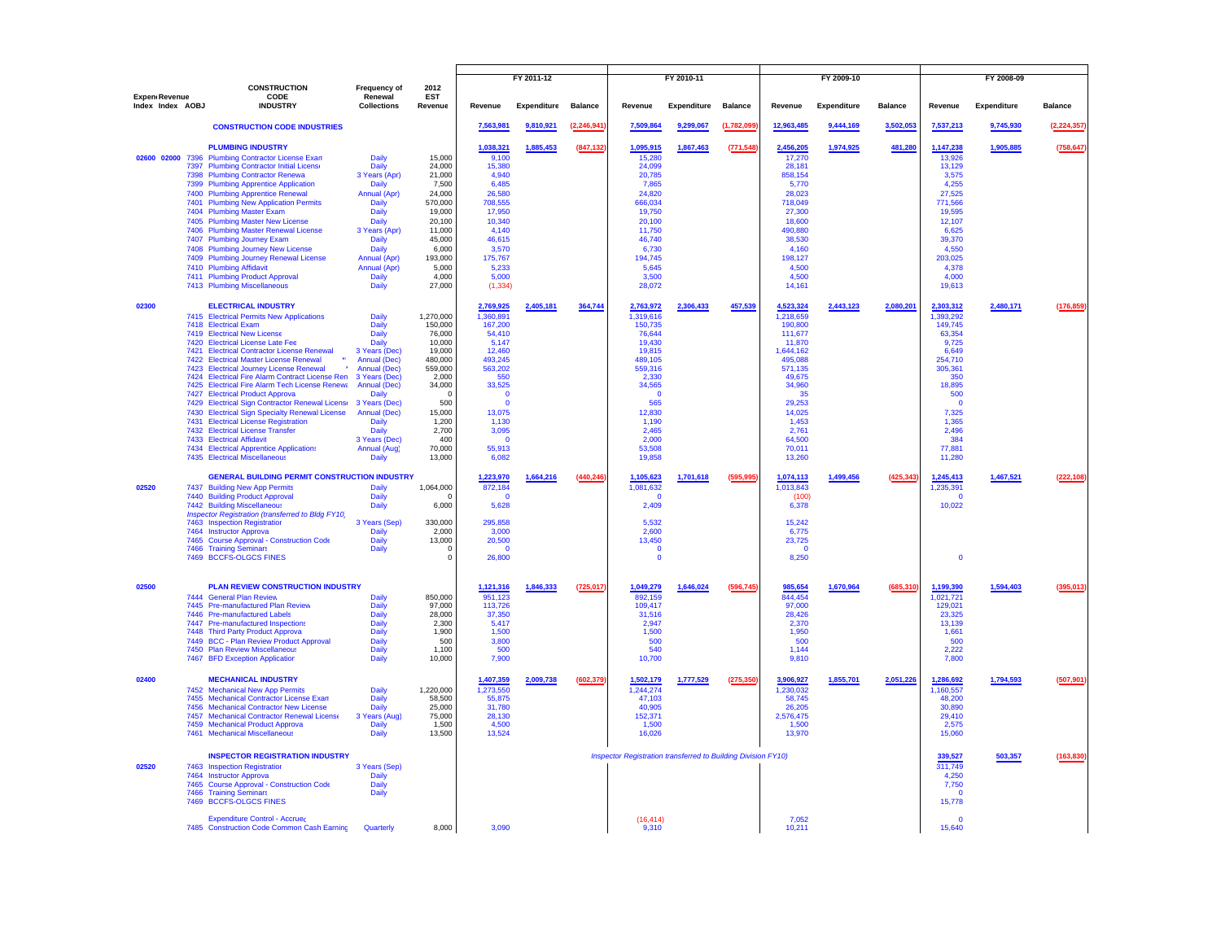|                                   | <b>CONSTRUCTION</b>                                                                                                                                                                                                                                                                                                                                                                                                                                                                                                                                                                                                                                                                                                                    | <b>Frequency of</b>                                                                                                                                                                                                                    | 2012                                                                                                                                                           | FY 2011-12                                                                                                                                                                                  |             | FY 2010-11     |                                                                                                                                                                                         |             | FY 2009-10     |                                                                                                                                                                                         |                    | FY 2008-09     |                                                                                                                                                                               |             |                |
|-----------------------------------|----------------------------------------------------------------------------------------------------------------------------------------------------------------------------------------------------------------------------------------------------------------------------------------------------------------------------------------------------------------------------------------------------------------------------------------------------------------------------------------------------------------------------------------------------------------------------------------------------------------------------------------------------------------------------------------------------------------------------------------|----------------------------------------------------------------------------------------------------------------------------------------------------------------------------------------------------------------------------------------|----------------------------------------------------------------------------------------------------------------------------------------------------------------|---------------------------------------------------------------------------------------------------------------------------------------------------------------------------------------------|-------------|----------------|-----------------------------------------------------------------------------------------------------------------------------------------------------------------------------------------|-------------|----------------|-----------------------------------------------------------------------------------------------------------------------------------------------------------------------------------------|--------------------|----------------|-------------------------------------------------------------------------------------------------------------------------------------------------------------------------------|-------------|----------------|
| Expen Revenue<br>Index Index AOBJ | CODE<br><b>INDUSTRY</b>                                                                                                                                                                                                                                                                                                                                                                                                                                                                                                                                                                                                                                                                                                                | Renewal<br><b>Collections</b>                                                                                                                                                                                                          | <b>EST</b><br>Revenue                                                                                                                                          | Revenue                                                                                                                                                                                     | Expenditure | <b>Balance</b> | Revenue                                                                                                                                                                                 | Expenditure | <b>Balance</b> | Revenue                                                                                                                                                                                 | <b>Expenditure</b> | <b>Balance</b> | Revenue                                                                                                                                                                       | Expenditure | <b>Balance</b> |
|                                   | <b>CONSTRUCTION CODE INDUSTRIES</b>                                                                                                                                                                                                                                                                                                                                                                                                                                                                                                                                                                                                                                                                                                    |                                                                                                                                                                                                                                        |                                                                                                                                                                | 7,563,981                                                                                                                                                                                   | 9,810,921   | (2, 246, 941)  | 7,509,864                                                                                                                                                                               | 9,299,067   | (1,782,099)    | 12,963,485                                                                                                                                                                              | 9,444,169          | 3,502,053      | 7,537,213                                                                                                                                                                     | 9,745,930   | (2, 224, 357)  |
|                                   | <b>PLUMBING INDUSTRY</b><br>02600 02000 7396 Plumbing Contractor License Exam<br>7397 Plumbing Contractor Initial License<br>7398 Plumbing Contractor Renewa<br>7399 Plumbing Apprentice Application<br>7400 Plumbing Apprentice Renewal<br>7401 Plumbing New Application Permits<br>7404 Plumbing Master Exam<br>7405 Plumbing Master New License<br>7406 Plumbing Master Renewal License<br>7407 Plumbing Journey Exam<br>7408 Plumbing Journey New License<br>7409 Plumbing Journey Renewal License<br>7410 Plumbing Affidavit<br>7411 Plumbing Product Approval<br>7413 Plumbing Miscellaneous                                                                                                                                     | Daily<br>Daily<br>3 Years (Apr)<br>Daily<br>Annual (Apr)<br><b>Daily</b><br>Daily<br>Daily<br>3 Years (Apr)<br><b>Daily</b><br><b>Daily</b><br>Annual (Apr)<br>Annual (Apr)<br>Daily<br>Daily                                          | 15,000<br>24,000<br>21,000<br>7,500<br>24,000<br>570,000<br>19,000<br>20,100<br>11,000<br>45,000<br>6,000<br>193,000<br>5,000<br>4,000<br>27,000               | 1,038,321<br>9,100<br>15,380<br>4,940<br>6.485<br>26,580<br>708,555<br>17,950<br>10,340<br>4,140<br>46,615<br>3,570<br>175,767<br>5,233<br>5.000<br>(1, 334)                                | 1,885,453   | (847,132       | 1,095,915<br>15,280<br>24,099<br>20,785<br>7.865<br>24,820<br>666,034<br>19,750<br>20,100<br>11.750<br>46,740<br>6,730<br>194,745<br>5,645<br>3.500<br>28,072                           | 1,867,463   | (771, 548)     | 2,456,205<br>17,270<br>28,181<br>858,154<br>5.770<br>28,023<br>718,049<br>27,300<br>18,600<br>490,880<br>38,530<br>4,160<br>198,127<br>4,500<br>4.500<br>14,161                         | 1,974,925          | 481,280        | 1,147,238<br>13,926<br>13,129<br>3,575<br>4,255<br>27,525<br>771,566<br>19,595<br>12,107<br>6.625<br>39,370<br>4,550<br>203,025<br>4,378<br>4.000<br>19,613                   | 1,905,885   | (758, 647)     |
| 02300                             | <b>ELECTRICAL INDUSTRY</b><br>7415 Electrical Permits New Applications<br>7418 Electrical Exam<br>7419 Electrical New License<br>7420 Electrical License Late Fee<br>7421 Electrical Contractor License Renewal<br>7422 Electrical Master License Renewal<br>7423 Electrical Journey License Renewal<br>7424 Electrical Fire Alarm Contract License Ren<br>7425 Electrical Fire Alarm Tech License Renewa<br>7427 Electrical Product Approva<br>7429 Electrical Sign Contractor Renewal License<br>7430 Electrical Sign Specialty Renewal License<br>7431 Electrical License Registration<br>7432 Electrical License Transfer<br>7433 Electrical Affidavit<br>7434 Electrical Apprentice Applications<br>7435 Electrical Miscellaneous | Daily<br>Daily<br>Daily<br>Daily<br>3 Years (Dec)<br><b>Annual (Dec)</b><br><b>Annual (Dec)</b><br>3 Years (Dec)<br>Annual (Dec)<br>Daily<br>3 Years (Dec)<br>Annual (Dec)<br>Daily<br>Daily<br>3 Years (Dec)<br>Annual (Aug)<br>Daily | 1,270,000<br>150,000<br>76,000<br>10,000<br>19,000<br>480,000<br>559,000<br>2,000<br>34,000<br>C<br>500<br>15,000<br>1,200<br>2,700<br>400<br>70,000<br>13,000 | 2,769,925<br>1,360,891<br>167,200<br>54,410<br>5,147<br>12,460<br>493,245<br>563,202<br>550<br>33,525<br>$\mathbf 0$<br>$\Omega$<br>13,075<br>1,130<br>3,095<br>$\Omega$<br>55,913<br>6,082 | 2,405,181   | 364,744        | 2,763,972<br>1,319,616<br>150,735<br>76,644<br>19,430<br>19,815<br>489.105<br>559,316<br>2,330<br>34,565<br>$\mathbf 0$<br>565<br>12,830<br>1,190<br>2,465<br>2.000<br>53,508<br>19,858 | 2,306,433   | 457,539        | 4,523,324<br>1,218,659<br>190,800<br>111.677<br>11,870<br>1,644,162<br>495,088<br>571,135<br>49,675<br>34,960<br>35<br>29,253<br>14,025<br>1,453<br>2,761<br>64,500<br>70,011<br>13,260 | 2,443,123          | 2,080,201      | 2,303,312<br>1,393,292<br>149,745<br>63,354<br>9,725<br>6,649<br>254,710<br>305,361<br>350<br>18,895<br>500<br>$\Omega$<br>7,325<br>1,365<br>2,496<br>384<br>77,881<br>11,280 | 2,480,171   | (176, 859)     |
| 02520                             | <b>GENERAL BUILDING PERMIT CONSTRUCTION INDUSTRY</b><br>7437 Building New App Permits<br>7440 Building Product Approval<br>7442 Building Miscellaneous<br>Inspector Registration (transferred to Bldg FY10)<br>7463 Inspection Registration<br>7464 Instructor Approva<br>7465 Course Approval - Construction Code<br>7466 Training Seminars<br>7469 BCCFS-OLGCS FINES                                                                                                                                                                                                                                                                                                                                                                 | Daily<br>Daily<br><b>Daily</b><br>3 Years (Sep)<br>Daily<br>Daily<br>Daily                                                                                                                                                             | 1,064,000<br>6,000<br>330,000<br>2.000<br>13,000<br>$\Omega$<br>$\Omega$                                                                                       | 1,223,970<br>872,184<br>$\mathbf 0$<br>5,628<br>295,858<br>3.000<br>20,500<br>$\Omega$<br>26,800                                                                                            | 1,664,216   | (440, 246)     | 1,105,623<br>1,081,632<br>$\mathbf 0$<br>2,409<br>5,532<br>2.600<br>13,450<br>$\Omega$<br>$\Omega$                                                                                      | 1,701,618   | (595,995       | 1,074,113<br>1.013.843<br>(100)<br>6,378<br>15,242<br>6.775<br>23,725<br>$\Omega$<br>8,250                                                                                              | 1,499,456          | (425, 343)     | 1,245,413<br>1.235.391<br>$\mathbf 0$<br>10,022<br>$\Omega$                                                                                                                   | 1,467,521   | (222, 108)     |
| 02500                             | PLAN REVIEW CONSTRUCTION INDUSTRY<br>7444 General Plan Review<br>7445 Pre-manufactured Plan Review<br>7446 Pre-manufactured Labels<br>7447 Pre-manufactured Inspections<br>7448 Third Party Product Approva<br>7449 BCC - Plan Review Product Approval<br>7450 Plan Review Miscellaneous<br>7467 BFD Exception Application                                                                                                                                                                                                                                                                                                                                                                                                             | Daily<br>Daily<br>Daily<br>Daily<br>Daily<br>Daily<br><b>Daily</b><br>Daily                                                                                                                                                            | 850,000<br>97,000<br>28,000<br>2,300<br>1,900<br>500<br>1.100<br>10,000                                                                                        | 1,121,316<br>951,123<br>113,726<br>37,350<br>5,417<br>1,500<br>3,800<br>500<br>7,900                                                                                                        | 1,846,333   | (725, 017)     | 1.049.279<br>892,159<br>109,417<br>31,516<br>2,947<br>1,500<br>500<br>540<br>10,700                                                                                                     | 1,646,024   | (596, 745)     | 985,654<br>844,454<br>97,000<br>28,426<br>2,370<br>1,950<br>500<br>1.144<br>9,810                                                                                                       | 1,670,964          | (685,310)      | 1.199.390<br>1,021,721<br>129.021<br>23,325<br>13,139<br>1,661<br>500<br>2.222<br>7,800                                                                                       | 1,594,403   | (395, 013)     |
| 02400                             | <b>MECHANICAL INDUSTRY</b><br>7452 Mechanical New App Permits<br>7455 Mechanical Contractor License Exam<br>7456 Mechanical Contractor New License<br>7457 Mechanical Contractor Renewal License<br>7459 Mechanical Product Approva<br>7461 Mechanical Miscellaneous                                                                                                                                                                                                                                                                                                                                                                                                                                                                   | Daily<br>Daily<br>Daily<br>3 Years (Aug)<br><b>Daily</b><br>Daily                                                                                                                                                                      | 1,220,000<br>58,500<br>25,000<br>75,000<br>1,500<br>13,500                                                                                                     | 1,407,359<br>1,273,550<br>55.875<br>31,780<br>28.130<br>4,500<br>13,524                                                                                                                     | 2,009,738   | (602, 379)     | 1,502,179<br>1,244,274<br>47.103<br>40,905<br>152.371<br>1,500<br>16,026                                                                                                                | 1,777,529   | (275, 350)     | 3,906,927<br>1,230,032<br>58.745<br>26,205<br>2.576.475<br>1,500<br>13,970                                                                                                              | 1,855,701          | 2,051,226      | 1,286,692<br>1,160,557<br>48.200<br>30,890<br>29.410<br>2,575<br>15,060                                                                                                       | 1,794,593   | (507, 901)     |
| 02520                             | <b>INSPECTOR REGISTRATION INDUSTRY</b><br>7463 Inspection Registration<br>7464 Instructor Approva<br>7465 Course Approval - Construction Code<br>7466 Training Seminars<br>7469 BCCFS-OLGCS FINES                                                                                                                                                                                                                                                                                                                                                                                                                                                                                                                                      | 3 Years (Sep)<br><b>Daily</b><br>Daily<br>Daily                                                                                                                                                                                        |                                                                                                                                                                |                                                                                                                                                                                             |             |                | Inspector Registration transferred to Building Division FY10)                                                                                                                           |             |                |                                                                                                                                                                                         |                    |                | 339,527<br>311,749<br>4.250<br>7,750<br>$\Omega$<br>15,778                                                                                                                    | 503,357     | (163, 830)     |
|                                   | <b>Expenditure Control - Accrued</b><br>7485 Construction Code Common Cash Earning                                                                                                                                                                                                                                                                                                                                                                                                                                                                                                                                                                                                                                                     | Quarterly                                                                                                                                                                                                                              | 8,000                                                                                                                                                          | 3,090                                                                                                                                                                                       |             |                | (16.414)<br>9.310                                                                                                                                                                       |             |                | 7.052<br>10,211                                                                                                                                                                         |                    |                | $\Omega$<br>15,640                                                                                                                                                            |             |                |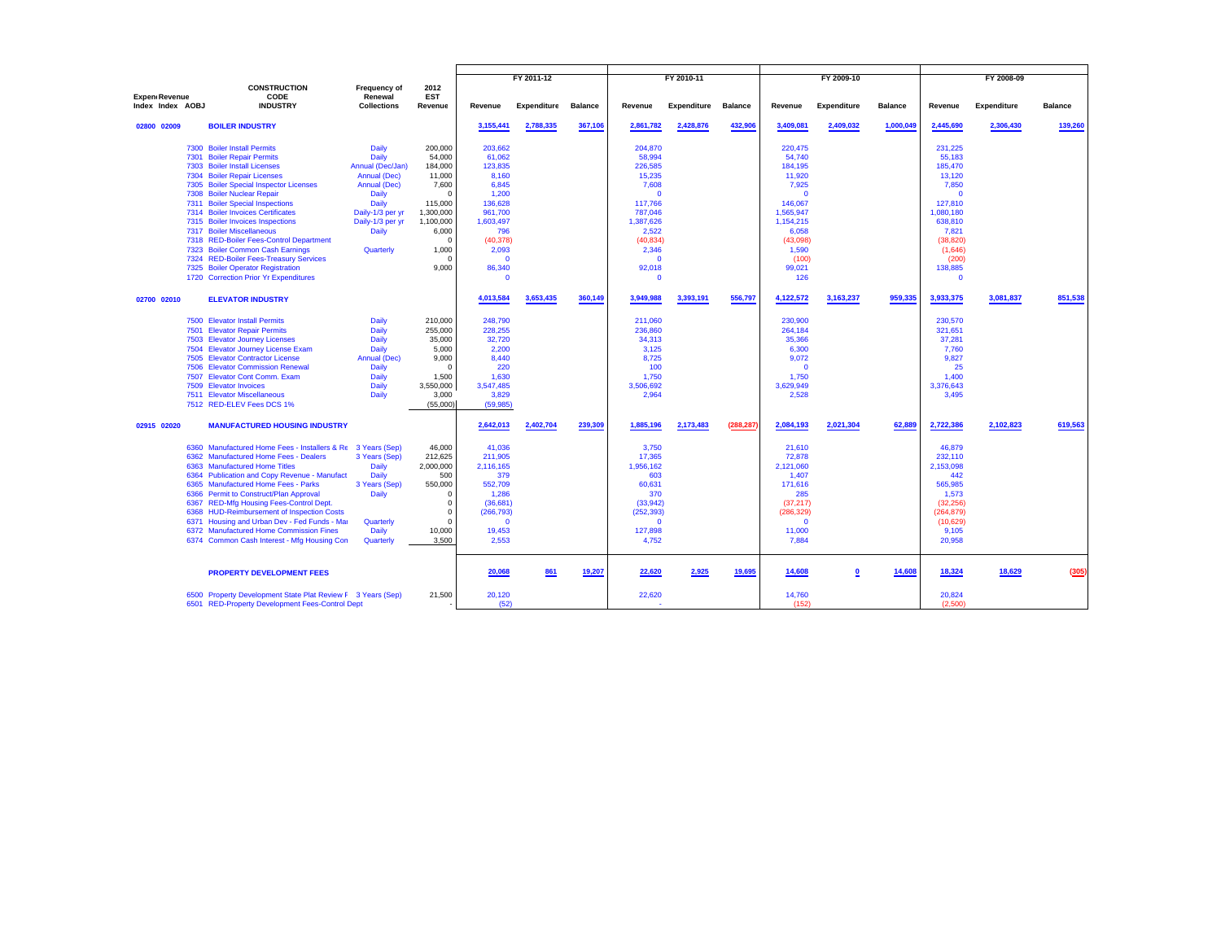|                  |                                                                                                                                                                                                                                                                                                                                                                                                                                                                                                                                                  |                                                                                                                                                                  |                                                                                                                                                       |                                                                                                                                                           | FY 2011-12         |                |                                                                                                                                                          | FY 2010-11         |                |                                                                                                                                                    | FY 2009-10         |                |                                                                                                                                                                                | FY 2008-09         |                |
|------------------|--------------------------------------------------------------------------------------------------------------------------------------------------------------------------------------------------------------------------------------------------------------------------------------------------------------------------------------------------------------------------------------------------------------------------------------------------------------------------------------------------------------------------------------------------|------------------------------------------------------------------------------------------------------------------------------------------------------------------|-------------------------------------------------------------------------------------------------------------------------------------------------------|-----------------------------------------------------------------------------------------------------------------------------------------------------------|--------------------|----------------|----------------------------------------------------------------------------------------------------------------------------------------------------------|--------------------|----------------|----------------------------------------------------------------------------------------------------------------------------------------------------|--------------------|----------------|--------------------------------------------------------------------------------------------------------------------------------------------------------------------------------|--------------------|----------------|
|                  | <b>CONSTRUCTION</b>                                                                                                                                                                                                                                                                                                                                                                                                                                                                                                                              | Frequency of                                                                                                                                                     | 2012                                                                                                                                                  |                                                                                                                                                           |                    |                |                                                                                                                                                          |                    |                |                                                                                                                                                    |                    |                |                                                                                                                                                                                |                    |                |
| Expen Revenue    | CODE                                                                                                                                                                                                                                                                                                                                                                                                                                                                                                                                             | Renewal                                                                                                                                                          | <b>EST</b>                                                                                                                                            |                                                                                                                                                           |                    |                |                                                                                                                                                          |                    |                |                                                                                                                                                    |                    |                |                                                                                                                                                                                |                    |                |
| Index Index AOBJ | <b>INDUSTRY</b>                                                                                                                                                                                                                                                                                                                                                                                                                                                                                                                                  | <b>Collections</b>                                                                                                                                               | Revenue                                                                                                                                               | Revenue                                                                                                                                                   | <b>Expenditure</b> | <b>Balance</b> | Revenue                                                                                                                                                  | <b>Expenditure</b> | <b>Balance</b> | Revenue                                                                                                                                            | <b>Expenditure</b> | <b>Balance</b> | Revenue                                                                                                                                                                        | <b>Expenditure</b> | <b>Balance</b> |
| 02800 02009      | <b>BOILER INDUSTRY</b>                                                                                                                                                                                                                                                                                                                                                                                                                                                                                                                           |                                                                                                                                                                  |                                                                                                                                                       | 3,155,441                                                                                                                                                 | 2,788,335          | 367,106        | 2,861,782                                                                                                                                                | 2,428,876          | 432,906        | 3,409,081                                                                                                                                          | 2,409,032          | 1,000,049      | 2,445,690                                                                                                                                                                      | 2,306,430          | 139,260        |
|                  | 7300 Boiler Install Permits<br>7301 Boiler Repair Permits<br>7303 Boiler Install Licenses<br>7304 Boiler Repair Licenses<br>7305 Boiler Special Inspector Licenses<br>7308 Boiler Nuclear Repair<br>7311 Boiler Special Inspections<br>7314 Boiler Invoices Certificates<br>7315 Boiler Invoices Inspections<br>7317 Boiler Miscellaneous<br>7318 RED-Boiler Fees-Control Department<br>7323 Boiler Common Cash Earnings<br>7324 RED-Boiler Fees-Treasury Services<br>7325 Boiler Operator Registration<br>1720 Correction Prior Yr Expenditures | Daily<br>Daily<br>Annual (Dec/Jan)<br>Annual (Dec)<br>Annual (Dec)<br><b>Daily</b><br>Daily<br>Daily-1/3 per yr<br>Daily-1/3 per yr<br><b>Daily</b><br>Quarterly | 200,000<br>54,000<br>184,000<br>11,000<br>7,600<br>$\Omega$<br>115,000<br>1,300,000<br>1,100,000<br>6,000<br>$\Omega$<br>1,000<br>$^{\circ}$<br>9,000 | 203,662<br>61,062<br>123,835<br>8,160<br>6,845<br>1.200<br>136,628<br>961,700<br>1,603,497<br>796<br>(40, 378)<br>2,093<br>$\Omega$<br>86,340<br>$\Omega$ |                    |                | 204,870<br>58,994<br>226,585<br>15,235<br>7,608<br>$\Omega$<br>117,766<br>787,046<br>1,387,626<br>2,522<br>(40, 834)<br>2,346<br>$\Omega$<br>92,018<br>c |                    |                | 220,475<br>54,740<br>184,195<br>11,920<br>7,925<br>-0<br>146.067<br>1,565,947<br>1,154,215<br>6,058<br>(43,098)<br>1,590<br>(100)<br>99,021<br>126 |                    |                | 231,225<br>55,183<br>185,470<br>13,120<br>7,850<br>$\Omega$<br>127.810<br>1,080,180<br>638,810<br>7,821<br>(38, 820)<br>(1,646)<br>(200)<br>138,885<br>$\overline{\mathbf{0}}$ |                    |                |
| 02700 02010      | <b>ELEVATOR INDUSTRY</b>                                                                                                                                                                                                                                                                                                                                                                                                                                                                                                                         |                                                                                                                                                                  |                                                                                                                                                       | 4,013,584                                                                                                                                                 | 3,653,435          | 360,149        | 3,949,988                                                                                                                                                | 3,393,191          | 556,797        | 4,122,572                                                                                                                                          | 3,163,237          | 959,335        | 3,933,375                                                                                                                                                                      | 3,081,837          | 851,538        |
|                  | 7500 Elevator Install Permits<br>7501 Elevator Repair Permits<br>7503 Elevator Journey Licenses<br>7504 Elevator Journey License Exam<br>7505 Elevator Contractor License<br>7506 Elevator Commission Renewal<br>7507 Elevator Cont Comm. Exam<br>7509 Elevator Invoices<br>7511 Elevator Miscellaneous<br>7512 RED-ELEV Fees DCS 1%                                                                                                                                                                                                             | <b>Daily</b><br>Daily<br>Daily<br>Daily<br><b>Annual (Dec)</b><br>Daily<br>Daily<br>Daily<br>Daily                                                               | 210,000<br>255,000<br>35,000<br>5,000<br>9,000<br>$^{\circ}$<br>1,500<br>3,550,000<br>3,000<br>(55,000)                                               | 248.790<br>228,255<br>32,720<br>2,200<br>8,440<br>220<br>1,630<br>3.547.485<br>3,829<br>(59, 985)                                                         |                    |                | 211,060<br>236,860<br>34,313<br>3,125<br>8,725<br>100<br>1,750<br>3.506.692<br>2,964                                                                     |                    |                | 230,900<br>264,184<br>35,366<br>6,300<br>9,072<br>- 0<br>1,750<br>3.629.949<br>2,528                                                               |                    |                | 230,570<br>321,651<br>37,281<br>7,760<br>9.827<br>25<br>1,400<br>3,376,643<br>3,495                                                                                            |                    |                |
| 02915 02020      | <b>MANUFACTURED HOUSING INDUSTRY</b>                                                                                                                                                                                                                                                                                                                                                                                                                                                                                                             |                                                                                                                                                                  |                                                                                                                                                       | 2,642,013                                                                                                                                                 | 2,402,704          | 239,309        | 1,885,196                                                                                                                                                | 2,173,483          | (288,287       | 2,084,193                                                                                                                                          | 2,021,304          | 62,889         | 2,722,386                                                                                                                                                                      | 2,102,823          | 619,563        |
|                  | 6360 Manufactured Home Fees - Installers & Re 3 Years (Sep)<br>6362 Manufactured Home Fees - Dealers<br>6363 Manufactured Home Titles<br>6364 Publication and Copy Revenue - Manufact<br>6365 Manufactured Home Fees - Parks<br>6366 Permit to Construct/Plan Approval<br>6367 RED-Mfg Housing Fees-Control Dept.<br>6368 HUD-Reimbursement of Inspection Costs<br>6371 Housing and Urban Dev - Fed Funds - Mar<br>6372 Manufactured Home Commission Fines<br>6374 Common Cash Interest - Mfg Housing Con                                        | 3 Years (Sep)<br>Daily<br>Daily<br>3 Years (Sep)<br>Daily<br>Quarterly<br>Daily<br>Quarterly                                                                     | 46,000<br>212,625<br>2,000,000<br>500<br>550,000<br>$^{\circ}$<br>0<br>$^{\circ}$<br>$\Omega$<br>10,000<br>3,500                                      | 41.036<br>211,905<br>2,116,165<br>379<br>552,709<br>1,286<br>(36,681)<br>(266, 793)<br>$\Omega$<br>19,453<br>2,553                                        |                    |                | 3.750<br>17,365<br>1,956,162<br>603<br>60,631<br>370<br>(33,942)<br>(252, 393)<br>$\Omega$<br>127,898<br>4,752                                           |                    |                | 21.610<br>72,878<br>2,121,060<br>1,407<br>171,616<br>285<br>(37, 217)<br>(286, 329)<br>$\Omega$<br>11,000<br>7,884                                 |                    |                | 46,879<br>232,110<br>2,153,098<br>442<br>565,985<br>1,573<br>(32, 256)<br>(264, 879)<br>(10, 629)<br>9,105<br>20,958                                                           |                    |                |
|                  | <b>PROPERTY DEVELOPMENT FEES</b>                                                                                                                                                                                                                                                                                                                                                                                                                                                                                                                 |                                                                                                                                                                  |                                                                                                                                                       | 20,068                                                                                                                                                    | 861                | 19,207         | 22,620                                                                                                                                                   | 2,925              | 19,695         | 14,608                                                                                                                                             | 0                  | 14,608         | 18,324                                                                                                                                                                         | 18,629             | (305)          |
|                  | 6500 Property Development State Plat Review F 3 Years (Sep)<br>6501 RED-Property Development Fees-Control Dept                                                                                                                                                                                                                                                                                                                                                                                                                                   |                                                                                                                                                                  | 21,500                                                                                                                                                | 20,120<br>(52)                                                                                                                                            |                    |                | 22,620                                                                                                                                                   |                    |                | 14,760<br>(152)                                                                                                                                    |                    |                | 20,824<br>(2,500)                                                                                                                                                              |                    |                |